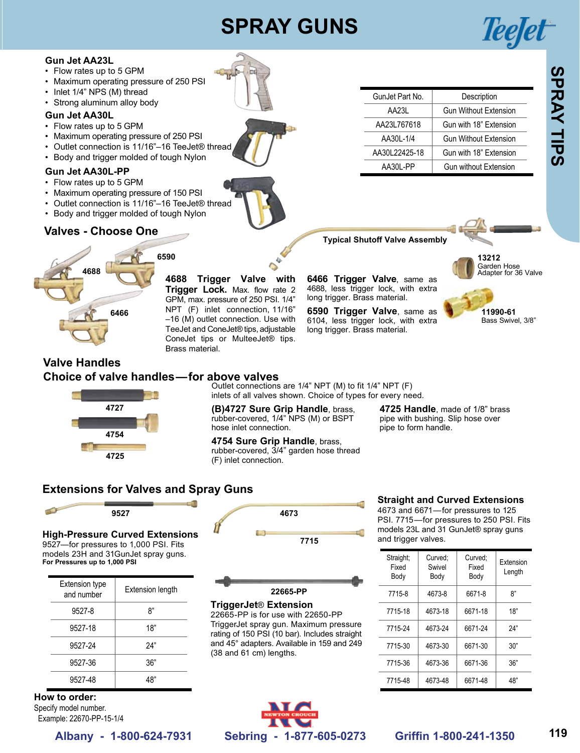# **SPRAY GUNS**



- • Flow rates up to 5 GPM
- • Maximum operating pressure of 250 PSI
- Inlet 1/4" NPS (M) thread
- Strong aluminum alloy body

#### **Gun Jet AA30L**

- • Flow rates up to 5 GPM
- Maximum operating pressure of 250 PSI
- • Outlet connection is 11/16"–16 TeeJet® thread
- • Body and trigger molded of tough Nylon

#### **Gun Jet AA30L-PP**

- • Flow rates up to 5 GPM
- Maximum operating pressure of 150 PSI
- Outlet connection is 11/16"-16 TeeJet® thread
- Body and trigger molded of tough Nylon

# **Valves - Choose One**



### **Valve Handles Choice of valve handles—for above valves**

Outlet connections are 1/4" NPT (M) to fit 1/4" NPT (F) inlets of all valves shown. Choice of types for every need.

**(B)4727 Sure Grip Handle**, brass, rubber-covered, 1/4" NPS (M) or BSPT hose inlet connection.

**4754 Sure Grip Handle**, brass, rubber-covered, 3/4" garden hose thread (F) inlet connection.

**4725 Handle**, made of 1/8" brass pipe with bushing. Slip hose over pipe to form handle.

GunJet Part No. Description

**Typical Shutoff Valve Assembly**

4688, less trigger lock, with extra long trigger. Brass material.

**6590 Trigger Valve**, same as 6104, less trigger lock, with extra long trigger. Brass material.

AA23L Gun Without Extension AA23L767618 Gun with 18" Extension AA30L-1/4 Gun Without Extension AA30L22425-18 Gun with 18" Extension AA30L-PP Gun without Extension

**13212**

Garden Hose<br>Adapter for 36 Valve

**11990-61** Bass Swivel, 3/8"

# **Extensions for Valves and Spray Guns**



# **High-Pressure Curved Extensions**

**4727**

**4754**

**4725**

9527—for pressures to 1,000 PSI. Fits models 23H and 31GunJet spray guns. **For Pressures up to 1,000 PSI**

| <b>Extension type</b><br>and number | <b>Extension length</b> | 22665-PP                                                    |
|-------------------------------------|-------------------------|-------------------------------------------------------------|
| 9527-8                              | 8"                      | <b>TriggerJet® Extensio</b><br>22665-PP is for use with 2   |
| 9527-18                             | 18"                     | TriggerJet spray gun. Max<br>rating of 150 PSI (10 bar). In |
| 9527-24                             | 24"                     | and 45° adapters. Available<br>(38 and 61 cm) lengths.      |
| 9527-36                             | 36"                     |                                                             |
| 9527-48                             | 48"                     |                                                             |

**How to order:**  Specify model number. Example: 22670-PP-15-1/4



#### **TriggerJet**® **Extension**

22665-PP is for use with 22650-PP TriggerJet spray gun. Maximum pressure rating of 150 PSI (10 bar). Includes straight and 45° adapters. Available in 159 and 249 (38 and 61 cm) lengths.







4673 and 6671—for pressures to 125 PSI. 7715—for pressures to 250 PSI. Fits models 23L and 31 GunJet® spray guns and trigger valves.

| Straight:<br>Fixed<br>Body | Curved:<br>Swivel<br>Body | Curved:<br>Fixed<br>Body | <b>Fxtension</b><br>Length |
|----------------------------|---------------------------|--------------------------|----------------------------|
| 7715-8                     | 4673-8                    | 6671-8                   | ጸ"                         |
| 7715-18                    | 4673-18                   | 6671-18                  | 18"                        |
| 7715-24                    | 4673-24                   | 6671-24                  | 24"                        |
| 7715-30                    | 4673-30                   | 6671-30                  | 30"                        |
| 7715-36                    | 4673-36                   | 6671-36                  | 36"                        |
| 7715-48                    | 4673-48                   | 6671-48                  | 48"                        |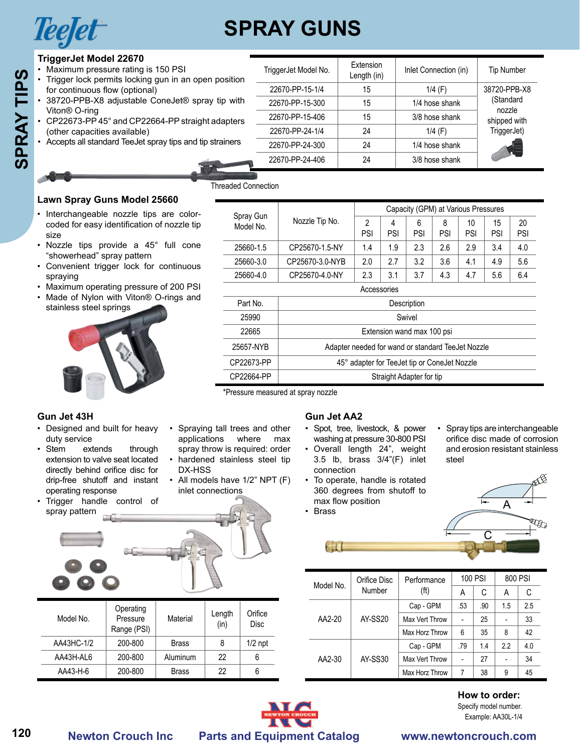

# **SPRAY GUNS**

TriggerJet Model No. | Extension<br>Length (in)

# **TriggerJet Model 22670**

- Maximum pressure rating is 150 PSI
- Trigger lock permits locking gun in an open position
- for continuous flow (optional)<br>38720-PPB-X8 adjustable Co adjustable ConeJet® spray tip with
- • CP22673-PP 45° and CP22664-PP straight adapters (other capacities available)
- Accepts all standard TeeJet spray tips and tip strainers

| $\cdots$ |
|----------|

| 38720-PPB-X8 a                                |
|-----------------------------------------------|
| Viton® O-rinq                                 |
| $\mathsf{CP}22673\text{-}\mathsf{PP}45^\circ$ |
| (other capacities                             |
| Accepts all standa                            |
|                                               |
|                                               |

| Trigger lock permits locking gun in an open position                                                                                                                                        |                                                            |              |                                                                                                                         |                            |                                                                 |                          | Length (in)                                                                                                                   |     |                                                   |           |                                                          |     |                          |     |
|---------------------------------------------------------------------------------------------------------------------------------------------------------------------------------------------|------------------------------------------------------------|--------------|-------------------------------------------------------------------------------------------------------------------------|----------------------------|-----------------------------------------------------------------|--------------------------|-------------------------------------------------------------------------------------------------------------------------------|-----|---------------------------------------------------|-----------|----------------------------------------------------------|-----|--------------------------|-----|
| for continuous flow (optional)                                                                                                                                                              |                                                            |              |                                                                                                                         |                            | 22670-PP-15-1/4                                                 |                          | 15                                                                                                                            |     |                                                   | 1/4 $(F)$ |                                                          |     | 38720-PPB-X8             |     |
| 38720-PPB-X8 adjustable ConeJet® spray tip with                                                                                                                                             |                                                            |              |                                                                                                                         |                            | 22670-PP-15-300                                                 |                          | 15                                                                                                                            |     | 1/4 hose shank                                    |           |                                                          |     | (Standard                |     |
| Viton <sup>®</sup> O-ring<br>• CP22673-PP45° and CP22664-PP straight adapters                                                                                                               |                                                            |              |                                                                                                                         |                            | 22670-PP-15-406                                                 |                          | 15                                                                                                                            |     | 3/8 hose shank                                    |           |                                                          |     | nozzle<br>shipped with   |     |
| (other capacities available)                                                                                                                                                                |                                                            |              |                                                                                                                         |                            | 22670-PP-24-1/4                                                 |                          | 24                                                                                                                            |     |                                                   | $1/4$ (F) |                                                          |     | TriggerJet)              |     |
|                                                                                                                                                                                             | • Accepts all standard TeeJet spray tips and tip strainers |              |                                                                                                                         |                            | 22670-PP-24-300                                                 |                          | 24                                                                                                                            |     | 1/4 hose shank                                    |           |                                                          |     |                          |     |
|                                                                                                                                                                                             |                                                            |              |                                                                                                                         |                            | 22670-PP-24-406                                                 |                          | 24                                                                                                                            |     | 3/8 hose shank                                    |           |                                                          |     |                          |     |
|                                                                                                                                                                                             |                                                            |              |                                                                                                                         |                            |                                                                 |                          |                                                                                                                               |     |                                                   |           |                                                          |     |                          |     |
|                                                                                                                                                                                             |                                                            |              |                                                                                                                         | <b>Threaded Connection</b> |                                                                 |                          |                                                                                                                               |     |                                                   |           |                                                          |     |                          |     |
| Lawn Spray Guns Model 25660                                                                                                                                                                 |                                                            |              |                                                                                                                         |                            |                                                                 |                          |                                                                                                                               |     |                                                   |           |                                                          |     |                          |     |
| · Interchangeable nozzle tips are color-                                                                                                                                                    |                                                            |              |                                                                                                                         |                            |                                                                 |                          |                                                                                                                               |     | Capacity (GPM) at Various Pressures               |           |                                                          |     |                          |     |
| coded for easy identification of nozzle tip                                                                                                                                                 |                                                            |              |                                                                                                                         | Spray Gun<br>Model No.     | Nozzle Tip No.                                                  |                          | $\overline{c}$                                                                                                                | 4   | 6                                                 | 8         | 10                                                       | 15  |                          | 20  |
| size                                                                                                                                                                                        |                                                            |              |                                                                                                                         |                            |                                                                 |                          | PSI                                                                                                                           | PSI | PSI                                               | PSI       | PSI                                                      | PSI |                          | PSI |
| • Nozzle tips provide a 45° full cone                                                                                                                                                       |                                                            |              |                                                                                                                         | 25660-1.5                  | CP25670-1.5-NY                                                  |                          | 1.4                                                                                                                           | 1.9 | 2.3                                               | 2.6       | 2.9                                                      | 3.4 |                          | 4.0 |
| "showerhead" spray pattern<br>• Convenient trigger lock for continuous                                                                                                                      |                                                            |              |                                                                                                                         | 25660-3.0                  | CP25670-3.0-NYB                                                 |                          | 2.0                                                                                                                           | 2.7 | 3.2                                               | 3.6       | 4.1                                                      | 4.9 |                          | 5.6 |
| spraying                                                                                                                                                                                    |                                                            |              |                                                                                                                         | 25660-4.0                  | CP25670-4.0-NY                                                  |                          | 2.3                                                                                                                           | 3.1 | 3.7                                               | 4.3       | 4.7                                                      | 5.6 |                          | 6.4 |
| • Maximum operating pressure of 200 PSI                                                                                                                                                     |                                                            |              |                                                                                                                         |                            |                                                                 |                          | Accessories                                                                                                                   |     |                                                   |           |                                                          |     |                          |     |
| • Made of Nylon with Viton® O-rings and                                                                                                                                                     |                                                            |              |                                                                                                                         | Part No.                   |                                                                 |                          |                                                                                                                               |     | Description                                       |           |                                                          |     |                          |     |
| stainless steel springs                                                                                                                                                                     |                                                            |              |                                                                                                                         | 25990                      |                                                                 |                          |                                                                                                                               |     | Swivel                                            |           |                                                          |     |                          |     |
|                                                                                                                                                                                             |                                                            |              |                                                                                                                         | 22665                      |                                                                 |                          |                                                                                                                               |     |                                                   |           |                                                          |     |                          |     |
|                                                                                                                                                                                             |                                                            |              |                                                                                                                         |                            |                                                                 |                          |                                                                                                                               |     | Extension wand max 100 psi                        |           |                                                          |     |                          |     |
|                                                                                                                                                                                             |                                                            |              |                                                                                                                         | 25657-NYB                  |                                                                 |                          |                                                                                                                               |     | Adapter needed for wand or standard TeeJet Nozzle |           |                                                          |     |                          |     |
|                                                                                                                                                                                             |                                                            |              |                                                                                                                         | CP22673-PP                 |                                                                 |                          |                                                                                                                               |     | 45° adapter for TeeJet tip or ConeJet Nozzle      |           |                                                          |     |                          |     |
|                                                                                                                                                                                             |                                                            |              |                                                                                                                         | CP22664-PP                 |                                                                 |                          |                                                                                                                               |     | Straight Adapter for tip                          |           |                                                          |     |                          |     |
| duty service<br>extends                                                                                                                                                                     |                                                            | applications | • Spraying tall trees and other                                                                                         | where                      | *Pressure measured at spray nozzle<br><b>Gun Jet AA2</b><br>max |                          | · Spot, tree, livestock, & power<br>washing at pressure 30-800 PSI                                                            |     |                                                   |           | • Spray tips are interchang<br>orifice disc made of corr |     |                          |     |
| Gun Jet 43H<br>• Designed and built for heavy<br>$\cdot$ Stem<br>extension to valve seat located<br>directly behind orifice disc for<br>drip-free shutoff and instant<br>operating response | through                                                    | DX-HSS       | spray throw is required: order<br>• hardened stainless steel tip<br>• All models have 1/2" NPT (F)<br>inlet connections |                            |                                                                 | connection               | • Overall length 24", weight<br>3.5 lb, brass 3/4"(F) inlet<br>• To operate, handle is rotated<br>360 degrees from shutoff to |     |                                                   | steel     | and erosion resistant stai                               |     |                          |     |
| · Trigger handle control of<br>spray pattern                                                                                                                                                |                                                            |              |                                                                                                                         |                            | • Brass                                                         |                          | max flow position                                                                                                             |     |                                                   |           |                                                          |     | A                        |     |
|                                                                                                                                                                                             |                                                            |              |                                                                                                                         |                            |                                                                 |                          |                                                                                                                               |     |                                                   |           |                                                          |     |                          |     |
|                                                                                                                                                                                             |                                                            |              |                                                                                                                         |                            |                                                                 | $\epsilon$ in $\epsilon$ |                                                                                                                               |     |                                                   |           |                                                          |     |                          |     |
|                                                                                                                                                                                             |                                                            |              |                                                                                                                         |                            |                                                                 |                          | Orifice Disc                                                                                                                  |     | Performance                                       |           | 100 PSI                                                  |     | 800 PSI                  |     |
|                                                                                                                                                                                             |                                                            |              |                                                                                                                         |                            |                                                                 | Model No.                | Number                                                                                                                        |     | (f <sup>t</sup> )                                 |           | Α                                                        | C   | Α                        |     |
|                                                                                                                                                                                             | Operating                                                  |              |                                                                                                                         |                            |                                                                 |                          |                                                                                                                               |     | Cap - GPM                                         |           | .53                                                      | .90 | 1.5                      |     |
| Model No.                                                                                                                                                                                   | Pressure                                                   | Material     | Length                                                                                                                  | Orifice                    |                                                                 | AA2-20                   | <b>AY-SS20</b>                                                                                                                |     | Max Vert Throw                                    |           |                                                          | 25  |                          | 2.5 |
|                                                                                                                                                                                             | Range (PSI)                                                |              | (in)                                                                                                                    | <b>Disc</b>                |                                                                 |                          |                                                                                                                               |     | Max Horz Throw                                    |           | 6                                                        | 35  | 8                        |     |
| AA43HC-1/2                                                                                                                                                                                  | 200-800                                                    | <b>Brass</b> | 8                                                                                                                       | $1/2$ npt                  |                                                                 |                          |                                                                                                                               |     | Cap - GPM                                         |           | .79                                                      | 1.4 | 2.2                      | 4.0 |
| AA43H-AL6                                                                                                                                                                                   | 200-800                                                    | Aluminum     | 22                                                                                                                      | 6                          |                                                                 | AA2-30                   | <b>AY-SS30</b>                                                                                                                |     | Max Vert Throw                                    |           |                                                          | 27  | $\overline{\phantom{a}}$ |     |
| AA43-H-6                                                                                                                                                                                    | 200-800                                                    | <b>Brass</b> | 22                                                                                                                      | 6                          |                                                                 |                          |                                                                                                                               |     | Max Horz Throw                                    |           | $\overline{7}$                                           | 38  | 9                        |     |

### **Gun Jet 43H**

- duty service
- Stem extends through extension to valve seat located directly behind orifice disc for drip-free shutoff and instant operating response
- Trigger handle control of spray pattern



| Model No.  | Operating<br>Pressure<br>Range (PSI) | Material     | Length<br>(in) | Orifice<br><b>Disc</b> |
|------------|--------------------------------------|--------------|----------------|------------------------|
| AA43HC-1/2 | 200-800                              | <b>Brass</b> | 8              | $1/2$ npt              |
| AA43H-AL6  | 200-800                              | Aluminum     | 22             | 6                      |
| AA43-H-6   | 200-800                              | <b>Brass</b> | 22             | 6                      |

#### **Gun Jet AA2**

- • Spot, tree, livestock, & power washing at pressure 30-800 PSI
- • Overall length 24", weight 3.5 lb, brass 3/4"(F) inlet connection
- To operate, handle is rotated 360 degrees from shutoff to max flow position • Brass
- • Spray tips are interchangeable orifice disc made of corrosion and erosion resistant stainless steel

 $Inlet$  Connection (in)  $\parallel$  Tip Number



| Model No. | Orifice Disc   | Performance       |     | 100 PSI |     | 800 PSI |
|-----------|----------------|-------------------|-----|---------|-----|---------|
|           | Number         | (f <sup>t</sup> ) | Α   | C       | A   | С       |
|           |                | Cap - GPM         | .53 | .90     | 1.5 | 2.5     |
| AA2-20    | <b>AY-SS20</b> | Max Vert Throw    |     | 25      |     | 33      |
|           |                | Max Horz Throw    | 6   | 35      | 8   | 42      |
|           |                | Cap - GPM         | .79 | 1.4     | 22  | 4.0     |
| AA2-30    | AY-SS30        | Max Vert Throw    |     | 27      |     | 34      |
|           |                | Max Horz Throw    | 7   | 38      | 9   | 45      |

# **How to order:** Specify model number.

# **Lawn Spray Guns Model 25660**

# • Nozzle tips provide a 45° full cone "showerhead" spray pattern

- • Convenient trigger lock for continuous spraying
- Maximum operating pressure of 200 PSI
- • Made of Nylon with Viton® O-rings and stainless steel springs



| • Spraying tall trees and other            |           |  |
|--------------------------------------------|-----------|--|
| applications                               | where max |  |
| المتواصي والمتوارد ومتواط والمتوسط المتوسط |           |  |

- spray throw is required: order • hardened stainless steel tip DX-HSS
- All models have 1/2" NPT (F) inlet connections

| <b>DIUT</b> |
|-------------|
|             |